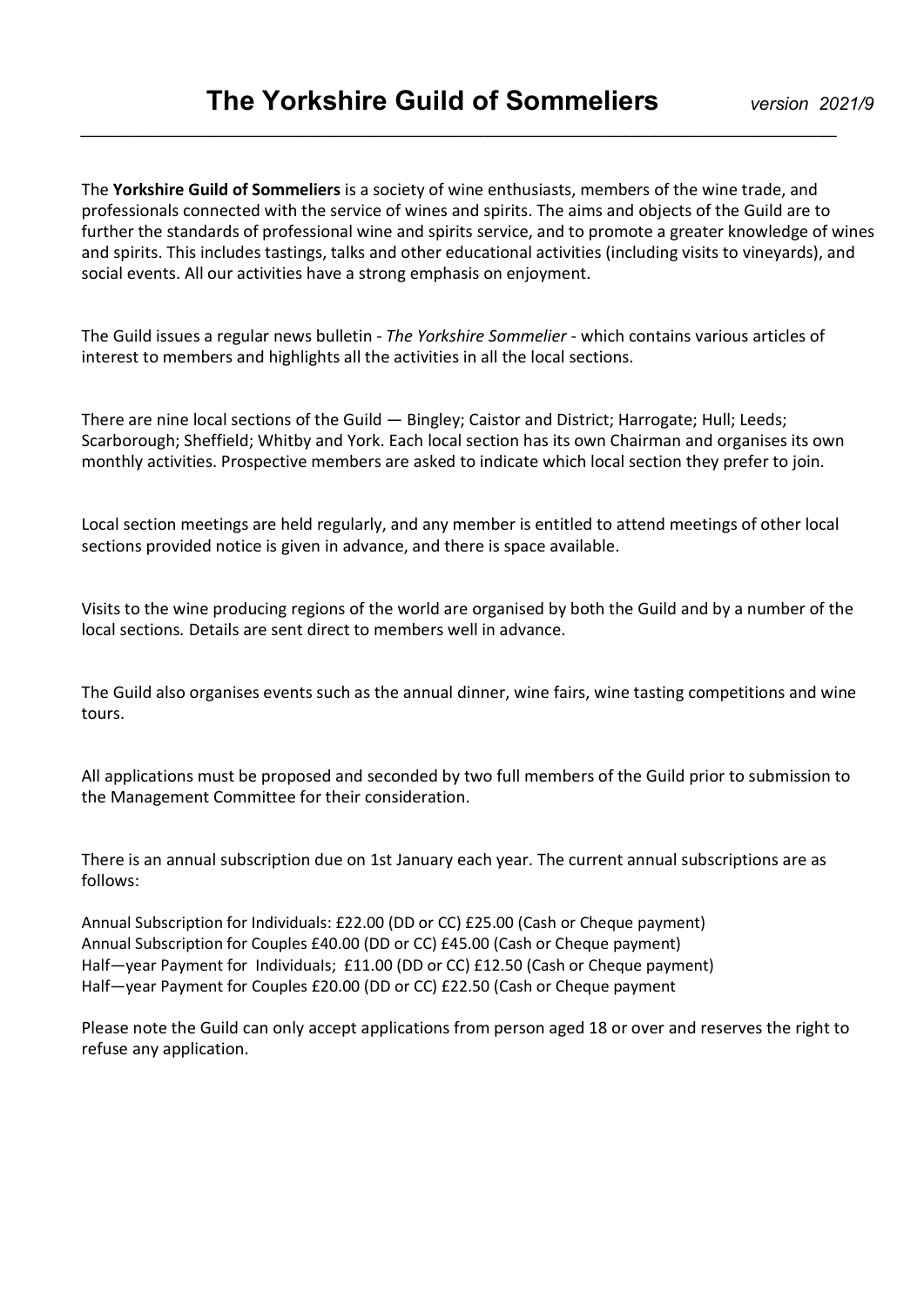\_\_\_\_\_\_\_\_\_\_\_\_\_\_\_\_\_\_\_\_\_\_\_\_\_\_\_\_\_\_\_\_\_\_\_\_\_\_\_\_\_\_\_\_\_\_\_\_\_\_\_\_\_\_\_\_\_\_\_\_\_\_\_\_\_\_\_\_\_\_\_\_\_\_\_

The Yorkshire Guild of Sommeliers is a society of wine enthusiasts, members of the wine trade, and professionals connected with the service of wines and spirits. The aims and objects of the Guild are to further the standards of professional wine and spirits service, and to promote a greater knowledge of wines and spirits. This includes tastings, talks and other educational activities (including visits to vineyards), and social events. All our activities have a strong emphasis on enjoyment.

The Guild issues a regular news bulletin - The Yorkshire Sommelier - which contains various articles of interest to members and highlights all the activities in all the local sections.

There are nine local sections of the Guild — Bingley; Caistor and District; Harrogate; Hull; Leeds; Scarborough; Sheffield; Whitby and York. Each local section has its own Chairman and organises its own monthly activities. Prospective members are asked to indicate which local section they prefer to join.

Local section meetings are held regularly, and any member is entitled to attend meetings of other local sections provided notice is given in advance, and there is space available.

Visits to the wine producing regions of the world are organised by both the Guild and by a number of the local sections. Details are sent direct to members well in advance.

The Guild also organises events such as the annual dinner, wine fairs, wine tasting competitions and wine tours.

All applications must be proposed and seconded by two full members of the Guild prior to submission to the Management Committee for their consideration.

There is an annual subscription due on 1st January each year. The current annual subscriptions are as follows:

Annual Subscription for Individuals: £22.00 (DD or CC) £25.00 (Cash or Cheque payment) Annual Subscription for Couples £40.00 (DD or CC) £45.00 (Cash or Cheque payment) Half—year Payment for IndividuaIs; £11.00 (DD or CC) £12.50 (Cash or Cheque payment) Half—year Payment for Couples £20.00 (DD or CC) £22.50 (Cash or Cheque payment

Please note the Guild can only accept applications from person aged 18 or over and reserves the right to refuse any application.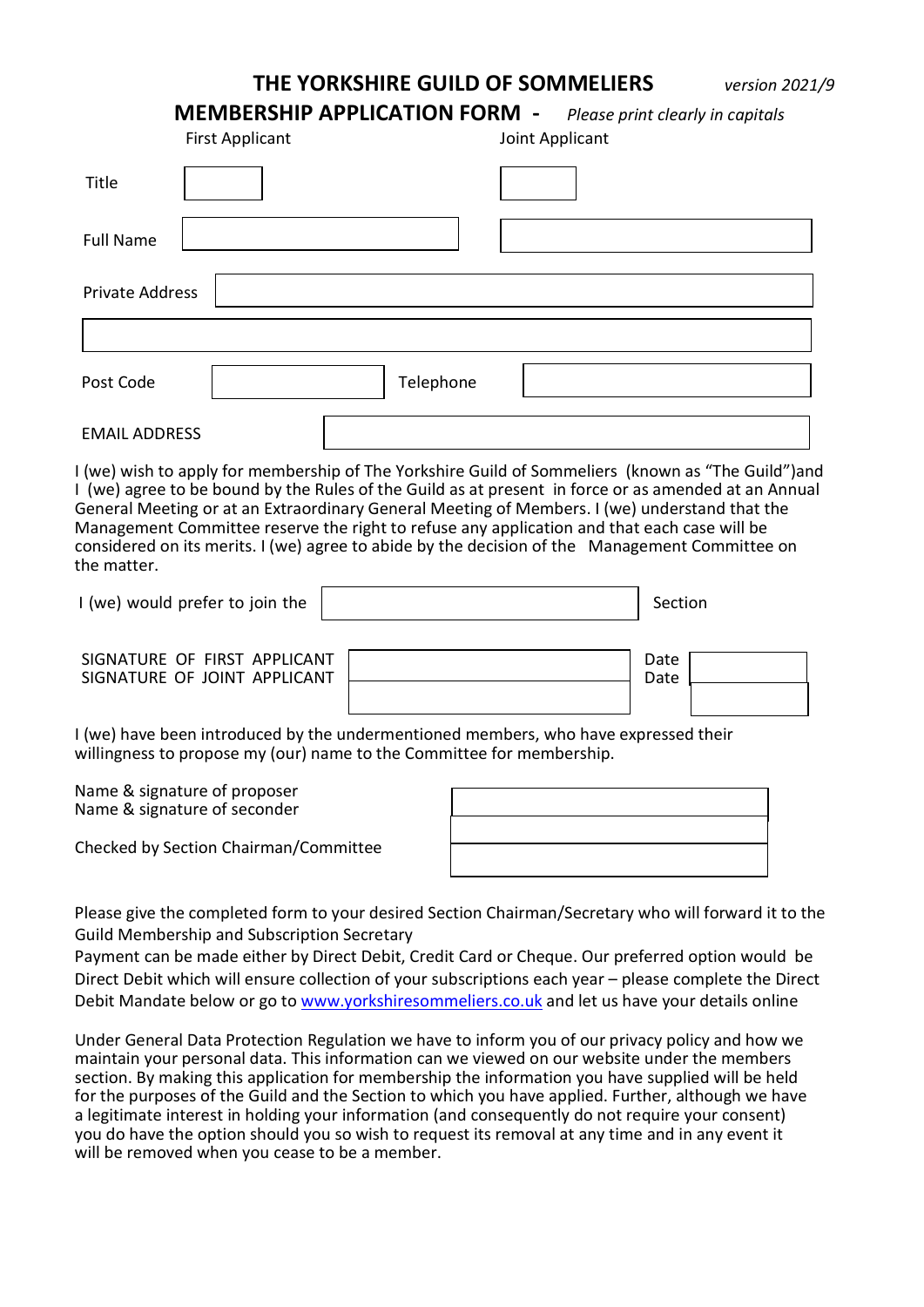THE YORKSHIRE GUILD OF SOMMELIERS version 2021/9

| <b>MEMBERSHIP APPLICATION FORM -</b> |  | Please print clearly in capitals |
|--------------------------------------|--|----------------------------------|
|--------------------------------------|--|----------------------------------|

|                                                                                                                                                                                                                                                                                                                                                                                                                                                                                                                             | <b>First Applicant</b> |           | Joint Applicant |         |
|-----------------------------------------------------------------------------------------------------------------------------------------------------------------------------------------------------------------------------------------------------------------------------------------------------------------------------------------------------------------------------------------------------------------------------------------------------------------------------------------------------------------------------|------------------------|-----------|-----------------|---------|
| <b>Title</b>                                                                                                                                                                                                                                                                                                                                                                                                                                                                                                                |                        |           |                 |         |
| <b>Full Name</b>                                                                                                                                                                                                                                                                                                                                                                                                                                                                                                            |                        |           |                 |         |
| <b>Private Address</b>                                                                                                                                                                                                                                                                                                                                                                                                                                                                                                      |                        |           |                 |         |
|                                                                                                                                                                                                                                                                                                                                                                                                                                                                                                                             |                        |           |                 |         |
| Post Code                                                                                                                                                                                                                                                                                                                                                                                                                                                                                                                   |                        | Telephone |                 |         |
| <b>EMAIL ADDRESS</b>                                                                                                                                                                                                                                                                                                                                                                                                                                                                                                        |                        |           |                 |         |
| I (we) wish to apply for membership of The Yorkshire Guild of Sommeliers (known as "The Guild")and<br>I (we) agree to be bound by the Rules of the Guild as at present in force or as amended at an Annual<br>General Meeting or at an Extraordinary General Meeting of Members. I (we) understand that the<br>Management Committee reserve the right to refuse any application and that each case will be<br>considered on its merits. I (we) agree to abide by the decision of the Management Committee on<br>the matter. |                        |           |                 |         |
|                                                                                                                                                                                                                                                                                                                                                                                                                                                                                                                             |                        |           |                 |         |
| I (we) would prefer to join the                                                                                                                                                                                                                                                                                                                                                                                                                                                                                             |                        |           |                 | Section |

 I (we) have been introduced by the undermentioned members, who have expressed their willingness to propose my (our) name to the Committee for membership.

 Name & signature of proposer Name & signature of seconder

Checked by Section Chairman/Committee

 Please give the completed form to your desired Section Chairman/Secretary who will forward it to the Guild Membership and Subscription Secretary

 Payment can be made either by Direct Debit, Credit Card or Cheque. Our preferred option would be Direct Debit which will ensure collection of your subscriptions each year – please complete the Direct Debit Mandate below or go to www.yorkshiresommeliers.co.uk and let us have your details online

 Under General Data Protection Regulation we have to inform you of our privacy policy and how we maintain your personal data. This information can we viewed on our website under the members section. By making this application for membership the information you have supplied will be held for the purposes of the Guild and the Section to which you have applied. Further, although we have a legitimate interest in holding your information (and consequently do not require your consent) you do have the option should you so wish to request its removal at any time and in any event it will be removed when you cease to be a member.